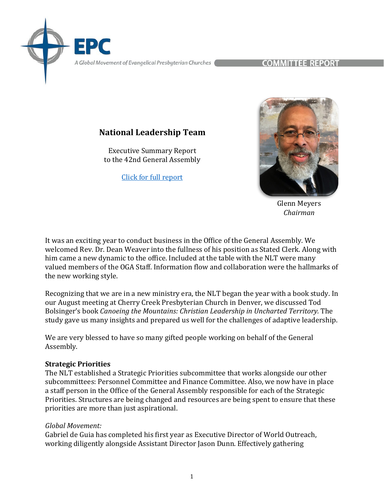A Global Movement of Evangelical Presbyterian Churches

COMMITTEE REPORT

# **National Leadership Team**

Executive Summary Report to the 42nd General Assembly

[Click for full report](https://epc.org/2022report-nlt/)



Glenn Meyers *Chairman*

It was an exciting year to conduct business in the Office of the General Assembly. We welcomed Rev. Dr. Dean Weaver into the fullness of his position as Stated Clerk. Along with him came a new dynamic to the office. Included at the table with the NLT were many valued members of the OGA Staff. Information flow and collaboration were the hallmarks of the new working style.

Recognizing that we are in a new ministry era, the NLT began the year with a book study. In our August meeting at Cherry Creek Presbyterian Church in Denver, we discussed Tod Bolsinger's book *Canoeing the Mountains: Christian Leadership in Uncharted Territory.* The study gave us many insights and prepared us well for the challenges of adaptive leadership.

We are very blessed to have so many gifted people working on behalf of the General Assembly.

#### **Strategic Priorities**

The NLT established a Strategic Priorities subcommittee that works alongside our other subcommittees: Personnel Committee and Finance Committee. Also, we now have in place a staff person in the Office of the General Assembly responsible for each of the Strategic Priorities. Structures are being changed and resources are being spent to ensure that these priorities are more than just aspirational.

#### *Global Movement:*

Gabriel de Guia has completed his first year as Executive Director of World Outreach, working diligently alongside Assistant Director Jason Dunn. Effectively gathering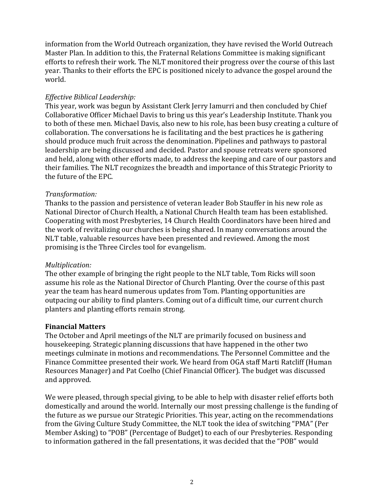information from the World Outreach organization, they have revised the World Outreach Master Plan. In addition to this, the Fraternal Relations Committee is making significant efforts to refresh their work. The NLT monitored their progress over the course of this last year. Thanks to their efforts the EPC is positioned nicely to advance the gospel around the world.

## *Effective Biblical Leadership:*

This year, work was begun by Assistant Clerk Jerry Iamurri and then concluded by Chief Collaborative Officer Michael Davis to bring us this year's Leadership Institute. Thank you to both of these men. Michael Davis, also new to his role, has been busy creating a culture of collaboration. The conversations he is facilitating and the best practices he is gathering should produce much fruit across the denomination. Pipelines and pathways to pastoral leadership are being discussed and decided. Pastor and spouse retreats were sponsored and held, along with other efforts made, to address the keeping and care of our pastors and their families. The NLT recognizes the breadth and importance of this Strategic Priority to the future of the EPC.

# *Transformation:*

Thanks to the passion and persistence of veteran leader Bob Stauffer in his new role as National Director of Church Health, a National Church Health team has been established. Cooperating with most Presbyteries, 14 Church Health Coordinators have been hired and the work of revitalizing our churches is being shared. In many conversations around the NLT table, valuable resources have been presented and reviewed. Among the most promising is the Three Circles tool for evangelism.

# *Multiplication:*

The other example of bringing the right people to the NLT table, Tom Ricks will soon assume his role as the National Director of Church Planting. Over the course of this past year the team has heard numerous updates from Tom. Planting opportunities are outpacing our ability to find planters. Coming out of a difficult time, our current church planters and planting efforts remain strong.

#### **Financial Matters**

The October and April meetings of the NLT are primarily focused on business and housekeeping. Strategic planning discussions that have happened in the other two meetings culminate in motions and recommendations. The Personnel Committee and the Finance Committee presented their work. We heard from OGA staff Marti Ratcliff (Human Resources Manager) and Pat Coelho (Chief Financial Officer). The budget was discussed and approved.

We were pleased, through special giving, to be able to help with disaster relief efforts both domestically and around the world. Internally our most pressing challenge is the funding of the future as we pursue our Strategic Priorities. This year, acting on the recommendations from the Giving Culture Study Committee, the NLT took the idea of switching "PMA" (Per Member Asking) to "POB" (Percentage of Budget) to each of our Presbyteries. Responding to information gathered in the fall presentations, it was decided that the "POB" would